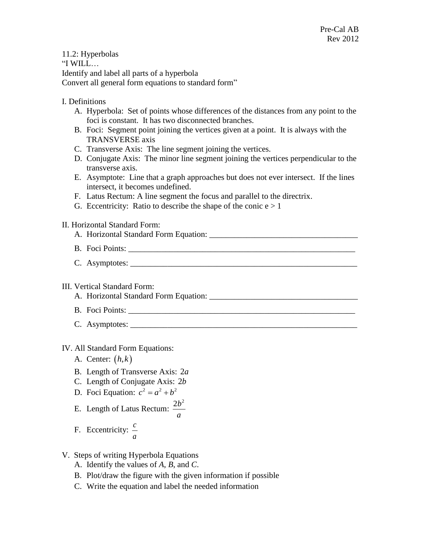11.2: Hyperbolas "I WILL… Identify and label all parts of a hyperbola Convert all general form equations to standard form" I. Definitions A. Hyperbola: Set of points whose differences of the distances from any point to the foci is constant. It has two disconnected branches. B. Foci: Segment point joining the vertices given at a point. It is always with the TRANSVERSE axis C. Transverse Axis: The line segment joining the vertices. D. Conjugate Axis: The minor line segment joining the vertices perpendicular to the transverse axis. E. Asymptote: Line that a graph approaches but does not ever intersect. If the lines intersect, it becomes undefined. F. Latus Rectum: A line segment the focus and parallel to the directrix. G. Eccentricity: Ratio to describe the shape of the conic  $e > 1$ II. Horizontal Standard Form: A. Horizontal Standard Form Equation: \_\_\_\_\_\_\_\_\_\_\_\_\_\_\_\_\_\_\_\_\_\_\_\_\_\_\_\_\_\_\_\_\_\_\_\_ B. Foci Points: \_\_\_\_\_\_\_\_\_\_\_\_\_\_\_\_\_\_\_\_\_\_\_\_\_\_\_\_\_\_\_\_\_\_\_\_\_\_\_\_\_\_\_\_\_\_\_\_\_\_\_\_\_\_\_ C. Asymptotes: \_\_\_\_\_\_\_\_\_\_\_\_\_\_\_\_\_\_\_\_\_\_\_\_\_\_\_\_\_\_\_\_\_\_\_\_\_\_\_\_\_\_\_\_\_\_\_\_\_\_\_\_\_\_\_ III. Vertical Standard Form: A. Horizontal Standard Form Equation: B. Foci Points: C. Asymptotes: \_\_\_\_\_\_\_\_\_\_\_\_\_\_\_\_\_\_\_\_\_\_\_\_\_\_\_\_\_\_\_\_\_\_\_\_\_\_\_\_\_\_\_\_\_\_\_\_\_\_\_\_\_\_\_ IV. All Standard Form Equations: A. Center: *h k*, B. Length of Transverse Axis: 2*a* C. Length of Conjugate Axis: 2*b* D. Foci Equation:  $c^2 = a^2 + b^2$ E. Length of Latus Rectum:  $2b^2$ *a* F. Eccentricity: *c a*

- V. Steps of writing Hyperbola Equations
	- A. Identify the values of *A*, *B*, and *C*.
	- B. Plot/draw the figure with the given information if possible
	- C. Write the equation and label the needed information